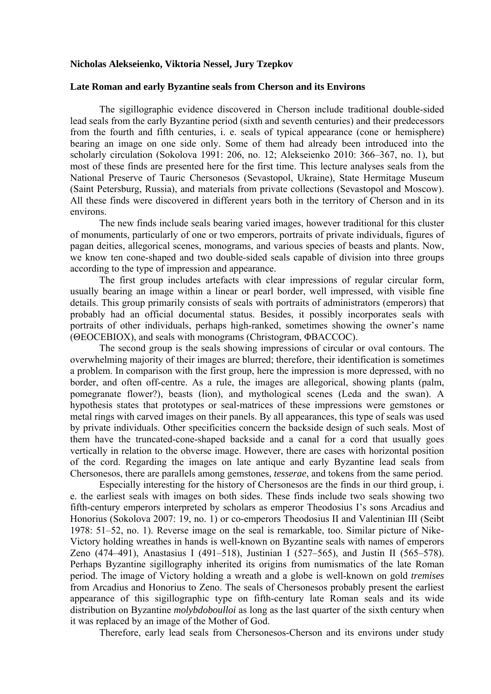## **Nicholas Alekseienko, Viktoria Nessel, Jury Tzepkov**

## **Late Roman and early Byzantine seals from Cherson and its Environs**

The sigillographic evidence discovered in Cherson include traditional double-sided lead seals from the early Byzantine period (sixth and seventh centuries) and their predecessors from the fourth and fifth centuries, i. e. seals of typical appearance (cone or hemisphere) bearing an image on one side only. Some of them had already been introduced into the scholarly circulation (Sokolova 1991: 206, no. 12; Alekseienko 2010: 366–367, no. 1), but most of these finds are presented here for the first time. This lecture analyses seals from the National Preserve of Tauric Chersonesos (Sevastopol, Ukraine), State Hermitage Museum (Saint Petersburg, Russia), and materials from private collections (Sevastopol and Moscow). All these finds were discovered in different years both in the territory of Cherson and in its environs.

The new finds include seals bearing varied images, however traditional for this cluster of monuments, particularly of one or two emperors, portraits of private individuals, figures of pagan deities, allegorical scenes, monograms, and various species of beasts and plants. Now, we know ten cone-shaped and two double-sided seals capable of division into three groups according to the type of impression and appearance.

The first group includes artefacts with clear impressions of regular circular form, usually bearing an image within a linear or pearl border, well impressed, with visible fine details. This group primarily consists of seals with portraits of administrators (emperors) that probably had an official documental status. Besides, it possibly incorporates seals with portraits of other individuals, perhaps high-ranked, sometimes showing the owner's name (ΘΕΟСΕΒΙΟΧ), and seals with monograms (Christogram, ΦΒΑCCOC).

The second group is the seals showing impressions of circular or oval contours. The overwhelming majority of their images are blurred; therefore, their identification is sometimes a problem. In comparison with the first group, here the impression is more depressed, with no border, and often off-centre. As a rule, the images are allegorical, showing plants (palm, pomegranate flower?), beasts (lion), and mythological scenes (Leda and the swan). A hypothesis states that prototypes or seal-matrices of these impressions were gemstones or metal rings with carved images on their panels. By all appearances, this type of seals was used by private individuals. Other specificities concern the backside design of such seals. Most of them have the truncated-cone-shaped backside and a canal for a cord that usually goes vertically in relation to the obverse image. However, there are cases with horizontal position of the cord. Regarding the images on late antique and early Byzantine lead seals from Chersonesos, there are parallels among gemstones, *tesserae*, and tokens from the same period.

Especially interesting for the history of Chersonesos are the finds in our third group, i. e. the earliest seals with images on both sides. These finds include two seals showing two fifth-century emperors interpreted by scholars as emperor Theodosius I's sons Arсadius and Honorius (Sokolova 2007: 19, no. 1) or co-emperors Theodosius II and Valentinian III (Seibt 1978: 51–52, no. 1). Reverse image on the seal is remarkable, too. Similar picture of Nike-Victory holding wreathes in hands is well-known on Byzantine seals with names of emperors Zeno (474–491), Anastasius I (491–518), Justinian I (527–565), and Justin II (565–578). Perhaps Byzantine sigillography inherited its origins from numismatics of the late Roman period. The image of Victory holding a wreath and a globe is well-known on gold *tremises* from Arcadius and Honorius to Zeno. The seals of Chersonesos probably present the earliest appearance of this sigillographic type on fifth-century late Roman seals and its wide distribution on Byzantine *molybdoboulloi* as long as the last quarter of the sixth century when it was replaced by an image of the Mother of God.

Therefore, early lead seals from Chersonesos-Cherson and its environs under study